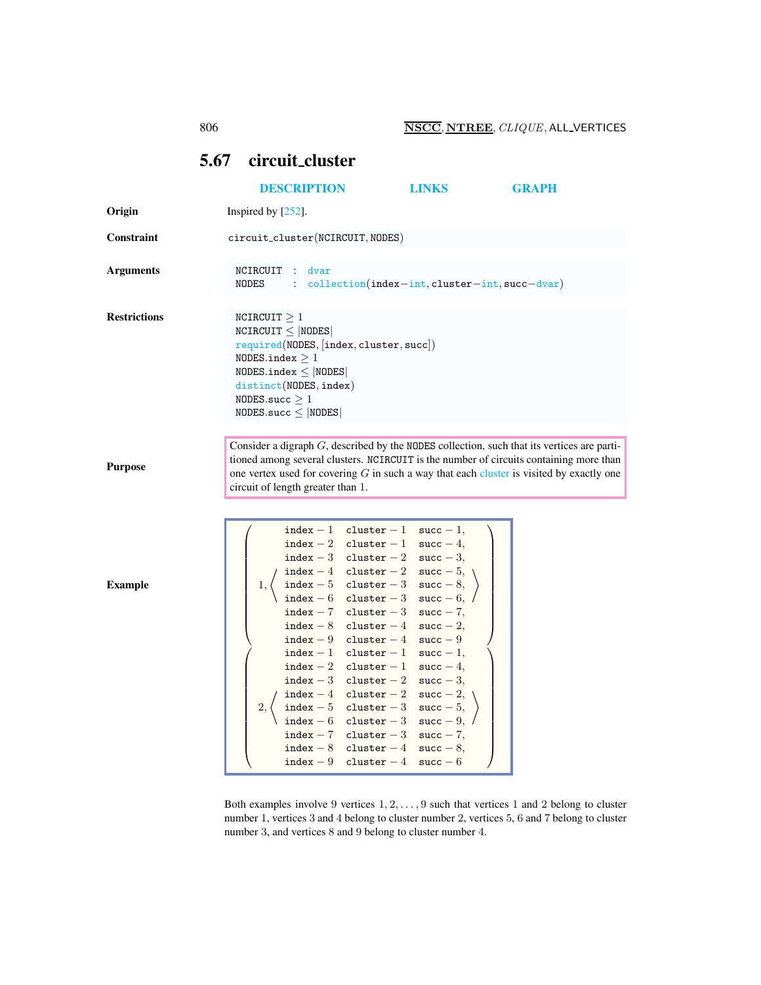## <span id="page-0-0"></span>5.67 circuit cluster

|                     | <b>DESCRIPTION</b>                                                                                                                                                                                                                                                                                                         |                                                                                                                                                                                                                                                                                                                                                                                                                                                                                                                                                                                                                                                    | <b>LINKS</b>                                                                                     | <b>GRAPH</b> |
|---------------------|----------------------------------------------------------------------------------------------------------------------------------------------------------------------------------------------------------------------------------------------------------------------------------------------------------------------------|----------------------------------------------------------------------------------------------------------------------------------------------------------------------------------------------------------------------------------------------------------------------------------------------------------------------------------------------------------------------------------------------------------------------------------------------------------------------------------------------------------------------------------------------------------------------------------------------------------------------------------------------------|--------------------------------------------------------------------------------------------------|--------------|
| Origin              | Inspired by [252].                                                                                                                                                                                                                                                                                                         |                                                                                                                                                                                                                                                                                                                                                                                                                                                                                                                                                                                                                                                    |                                                                                                  |              |
| Constraint          | circuit_cluster(NCIRCUIT, NODES)                                                                                                                                                                                                                                                                                           |                                                                                                                                                                                                                                                                                                                                                                                                                                                                                                                                                                                                                                                    |                                                                                                  |              |
| <b>Arguments</b>    | NCIRCUIT<br>dvar<br>$\mathbb{Z}^{\mathbb{Z}}$<br>NODES<br>$\mathbb{R}^{\mathbb{Z}}$                                                                                                                                                                                                                                        |                                                                                                                                                                                                                                                                                                                                                                                                                                                                                                                                                                                                                                                    | $\text{collection}(\text{index}-\text{int}, \text{cluster}-\text{int}, \text{succ}-\text{dvar})$ |              |
| <b>Restrictions</b> | NCIRCUIT $\geq 1$<br>$NCIRCUIT \leq  NODES $<br>required(NODES, [index, cluster, succ])<br>NODES.index $>1$<br>NODES.index $\leq$  NODES <br>distinct(NODES, index)<br>NODES.succ $\geq 1$<br>$NODES.size \leq  NODES $                                                                                                    |                                                                                                                                                                                                                                                                                                                                                                                                                                                                                                                                                                                                                                                    |                                                                                                  |              |
| <b>Purpose</b>      | Consider a digraph $G$ , described by the NODES collection, such that its vertices are parti-<br>tioned among several clusters. NCIRCUIT is the number of circuits containing more than<br>one vertex used for covering $G$ in such a way that each cluster is visited by exactly one<br>circuit of length greater than 1. |                                                                                                                                                                                                                                                                                                                                                                                                                                                                                                                                                                                                                                                    |                                                                                                  |              |
| <b>Example</b>      | 1,<br>2,                                                                                                                                                                                                                                                                                                                   | index - 1 cluster - 1 succ - 1,<br>index - 2 cluster - 1 succ - 4,<br>index - 3 cluster - 2 succ - 3,<br>index - 4 cluster - 2 succ - 5,<br>index - 5 cluster - 3 succ - 8,<br>$index - 6$ cluster $-3$ succ $-6$ ,<br>index - 7 cluster - 3 succ - 7,<br>index $-8$ cluster $-4$ succ $-2$ ,<br>$index - 9 cluster - 4 succ - 9$<br>index - 1 cluster - 1 succ - 1,<br>index - 2 cluster - 1 succ - 4,<br>$index - 3 cluster - 2$<br>index $-4$ cluster $-2$ succ $-2$ ,<br>index - 5 cluster - 3 succ - 5,<br>index - 6 cluster - 3 succ - 9,<br>index - 7 cluster - 3 succ - 7,<br>index - 8 cluster - 4 succ - 8,<br>$index - 9$ cluster $- 4$ | $succ-3$ ,<br>$succ - 6$                                                                         |              |

Both examples involve 9 vertices  $1, 2, \ldots, 9$  such that vertices 1 and 2 belong to cluster number 1, vertices 3 and 4 belong to cluster number 2, vertices 5, 6 and 7 belong to cluster number 3, and vertices 8 and 9 belong to cluster number 4.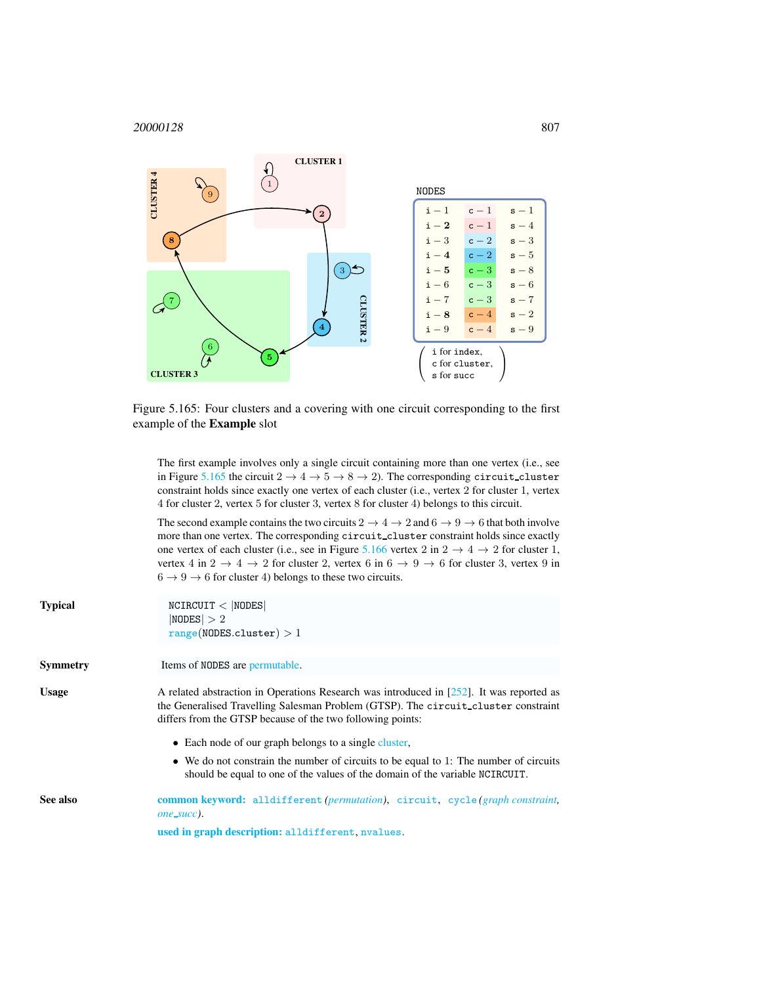

Figure 5.165: Four clusters and a covering with one circuit corresponding to the first example of the Example slot

<span id="page-1-1"></span>The first example involves only a single circuit containing more than one vertex (i.e., see in Figure [5.165](#page-1-1) the circuit  $2 \rightarrow 4 \rightarrow 5 \rightarrow 8 \rightarrow 2$ ). The corresponding circuit\_cluster constraint holds since exactly one vertex of each cluster (i.e., vertex 2 for cluster 1, vertex 4 for cluster 2, vertex 5 for cluster 3, vertex 8 for cluster 4) belongs to this circuit.

The second example contains the two circuits  $2 \rightarrow 4 \rightarrow 2$  and  $6 \rightarrow 9 \rightarrow 6$  that both involve more than one vertex. The corresponding circuit cluster constraint holds since exactly one vertex of each cluster (i.e., see in Figure [5.166](#page-2-0) vertex 2 in  $2 \rightarrow 4 \rightarrow 2$  for cluster 1, vertex 4 in  $2 \rightarrow 4 \rightarrow 2$  for cluster 2, vertex 6 in  $6 \rightarrow 9 \rightarrow 6$  for cluster 3, vertex 9 in  $6 \rightarrow 9 \rightarrow 6$  for cluster 4) belongs to these two circuits.

<span id="page-1-0"></span>

| <b>Typical</b>  | NCIRCUIT <  NODES <br> NODES  > 2<br>range(NODES. cluster) > 1                                                                                                                                                                                  |
|-----------------|-------------------------------------------------------------------------------------------------------------------------------------------------------------------------------------------------------------------------------------------------|
| <b>Symmetry</b> | Items of NODES are permutable.                                                                                                                                                                                                                  |
| <b>Usage</b>    | A related abstraction in Operations Research was introduced in $[252]$ . It was reported as<br>the Generalised Travelling Salesman Problem (GTSP). The circuit_cluster constraint<br>differs from the GTSP because of the two following points: |
|                 | • Each node of our graph belongs to a single cluster,                                                                                                                                                                                           |
|                 | $\bullet$ We do not constrain the number of circuits to be equal to 1: The number of circuits<br>should be equal to one of the values of the domain of the variable NCIRCUIT.                                                                   |
| See also        | <b>common keyword:</b> alldifferent (permutation), circuit, cycle (graph constraint,<br><i>one_succ</i> ).                                                                                                                                      |
|                 | used in graph description: alldifferent, nvalues.                                                                                                                                                                                               |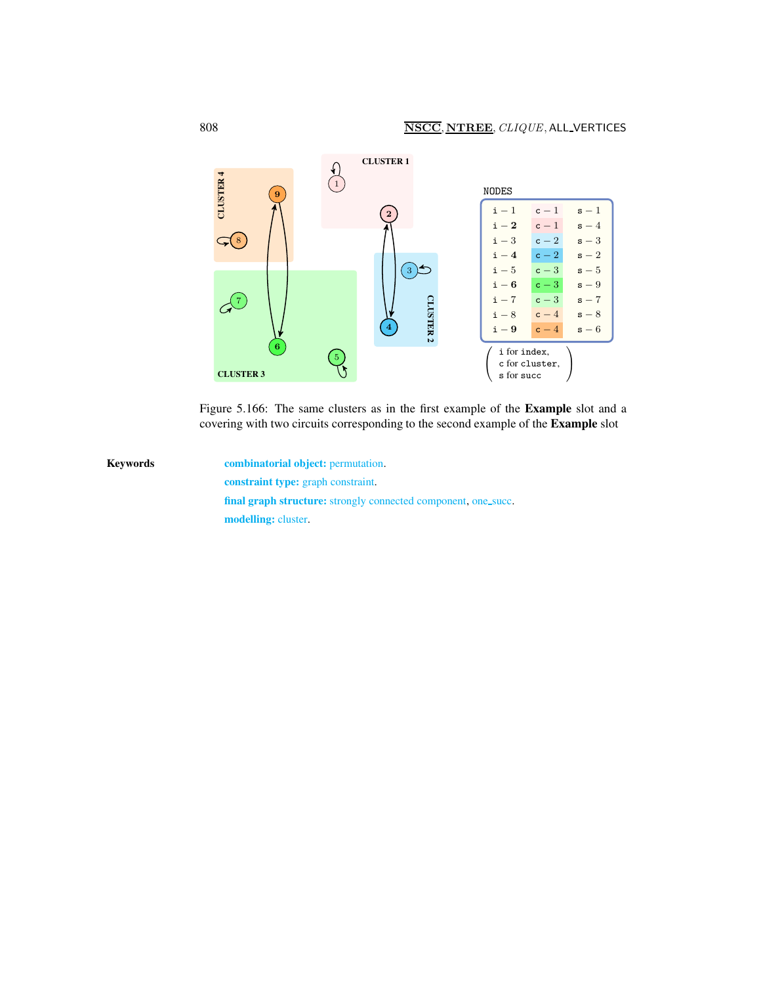

<span id="page-2-0"></span>Figure 5.166: The same clusters as in the first example of the Example slot and a covering with two circuits corresponding to the second example of the Example slot

Keywords **combinatorial object:** permutation. constraint type: graph constraint. final graph structure: strongly connected component, one\_succ. modelling: cluster.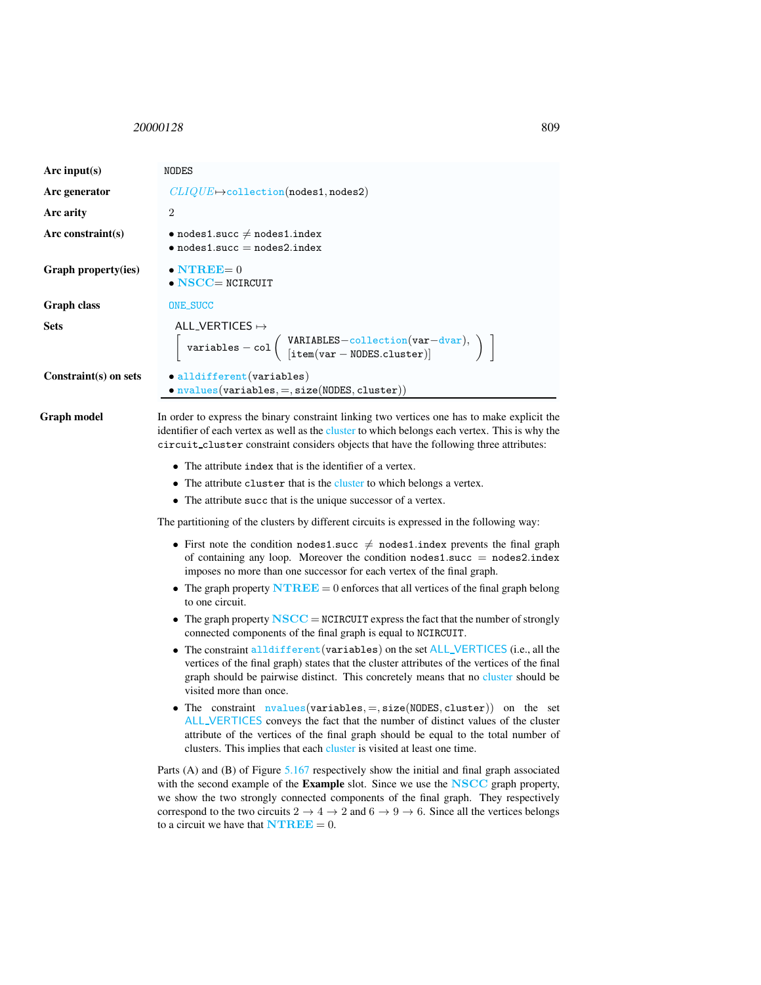## <span id="page-3-0"></span>20000128 809

| Arc input(s)               | NODES                                                                                                                                                                                                                                                                            |  |
|----------------------------|----------------------------------------------------------------------------------------------------------------------------------------------------------------------------------------------------------------------------------------------------------------------------------|--|
| Arc generator              | $CLIQUE \rightarrow collection(nodes1, nodes2)$                                                                                                                                                                                                                                  |  |
| Arc arity                  | $\mathcal{D}_{\mathcal{L}}$                                                                                                                                                                                                                                                      |  |
| Arc constraint(s)          | $\bullet$ nodes1.succ $\neq$ nodes1.index<br>$\bullet$ nodes1.succ = nodes2.index                                                                                                                                                                                                |  |
| <b>Graph property(ies)</b> | $\bullet$ NTREE= 0<br>$\bullet$ NSCC= NCIRCUIT                                                                                                                                                                                                                                   |  |
| <b>Graph</b> class         | ONE_SUCC                                                                                                                                                                                                                                                                         |  |
| <b>Sets</b>                | ALL_VERTICES $\mapsto$<br>$\left[\begin{array}{l}\texttt{variables} - \texttt{col}\left(\begin{array}{l}\texttt{VARIABLES}-\texttt{collection}(\texttt{var}-\texttt{dvar}),\\ \texttt{[item}(\texttt{var}-\texttt{NODES}.\texttt{cluster})]\end{array}\right)\end{array}\right]$ |  |
| Constraint(s) on sets      | $\bullet$ alldifferent (variables)<br>$\bullet$ nvalues(variables, =, size(NODES, cluster))                                                                                                                                                                                      |  |

Graph model In order to express the binary constraint linking two vertices one has to make explicit the identifier of each vertex as well as the cluster to which belongs each vertex. This is why the circuit cluster constraint considers objects that have the following three attributes:

- The attribute index that is the identifier of a vertex.
- The attribute cluster that is the cluster to which belongs a vertex.
- The attribute succ that is the unique successor of a vertex.

The partitioning of the clusters by different circuits is expressed in the following way:

- First note the condition nodes1.succ  $\neq$  nodes1.index prevents the final graph of containing any loop. Moreover the condition nodes1.succ  $=$  nodes2.index imposes no more than one successor for each vertex of the final graph.
- The graph property  $\mathbf{N} \mathbf{T} \mathbf{R} \mathbf{E} \mathbf{E} = 0$  enforces that all vertices of the final graph belong to one circuit.
- The graph property  $\mathbf{NSCC} = \mathbf{NCIRCUIT}$  express the fact that the number of strongly connected components of the final graph is equal to NCIRCUIT.
- The constraint alldifferent (variables) on the set ALL\_VERTICES (i.e., all the vertices of the final graph) states that the cluster attributes of the vertices of the final graph should be pairwise distinct. This concretely means that no cluster should be visited more than once.
- The constraint  $nvalues(variables, =, size(NODES, cluster))$  on the set ALL VERTICES conveys the fact that the number of distinct values of the cluster attribute of the vertices of the final graph should be equal to the total number of clusters. This implies that each cluster is visited at least one time.

Parts (A) and (B) of Figure [5.167](#page-4-0) respectively show the initial and final graph associated with the second example of the **Example** slot. Since we use the **NSCC** graph property, we show the two strongly connected components of the final graph. They respectively correspond to the two circuits  $2 \rightarrow 4 \rightarrow 2$  and  $6 \rightarrow 9 \rightarrow 6$ . Since all the vertices belongs to a circuit we have that  $\mathbf{N} \mathbf{T} \mathbf{R} \mathbf{E} \mathbf{E} = 0$ .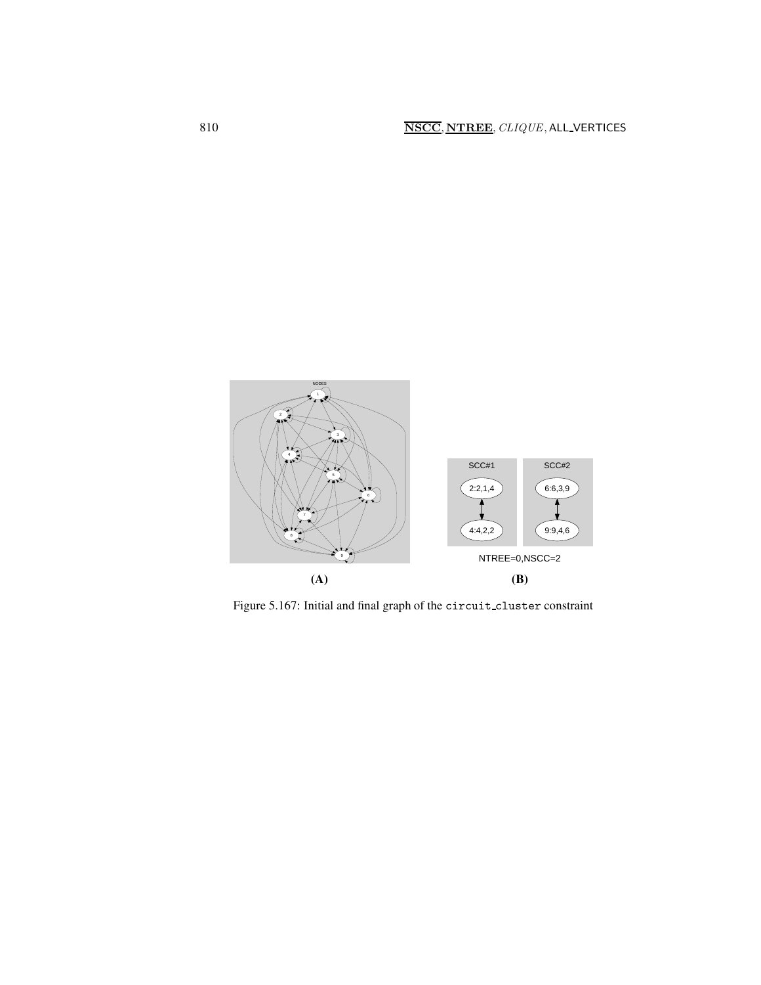

<span id="page-4-0"></span>Figure 5.167: Initial and final graph of the circuit cluster constraint